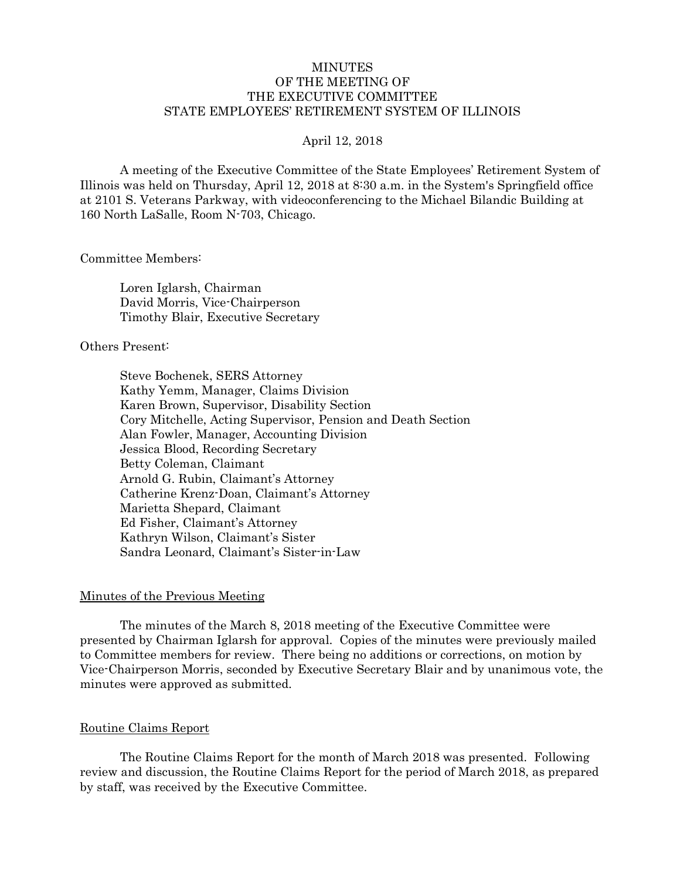### MINUTES OF THE MEETING OF THE EXECUTIVE COMMITTEE STATE EMPLOYEES' RETIREMENT SYSTEM OF ILLINOIS

#### April 12, 2018

A meeting of the Executive Committee of the State Employees' Retirement System of Illinois was held on Thursday, April 12, 2018 at 8:30 a.m. in the System's Springfield office at 2101 S. Veterans Parkway, with videoconferencing to the Michael Bilandic Building at 160 North LaSalle, Room N-703, Chicago.

Committee Members:

Loren Iglarsh, Chairman David Morris, Vice-Chairperson Timothy Blair, Executive Secretary

## Others Present:

Steve Bochenek, SERS Attorney Kathy Yemm, Manager, Claims Division Karen Brown, Supervisor, Disability Section Cory Mitchelle, Acting Supervisor, Pension and Death Section Alan Fowler, Manager, Accounting Division Jessica Blood, Recording Secretary Betty Coleman, Claimant Arnold G. Rubin, Claimant's Attorney Catherine Krenz-Doan, Claimant's Attorney Marietta Shepard, Claimant Ed Fisher, Claimant's Attorney Kathryn Wilson, Claimant's Sister Sandra Leonard, Claimant's Sister-in-Law

### Minutes of the Previous Meeting

The minutes of the March 8, 2018 meeting of the Executive Committee were presented by Chairman Iglarsh for approval. Copies of the minutes were previously mailed to Committee members for review. There being no additions or corrections, on motion by Vice-Chairperson Morris, seconded by Executive Secretary Blair and by unanimous vote, the minutes were approved as submitted.

### Routine Claims Report

The Routine Claims Report for the month of March 2018 was presented. Following review and discussion, the Routine Claims Report for the period of March 2018, as prepared by staff, was received by the Executive Committee.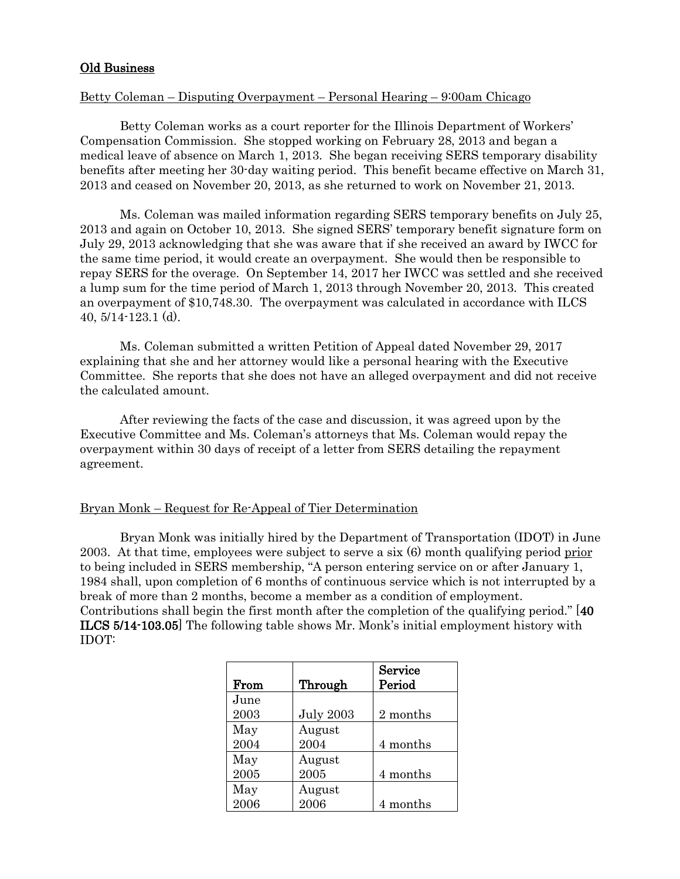## Old Business

### Betty Coleman – Disputing Overpayment – Personal Hearing – 9:00am Chicago

Betty Coleman works as a court reporter for the Illinois Department of Workers' Compensation Commission. She stopped working on February 28, 2013 and began a medical leave of absence on March 1, 2013. She began receiving SERS temporary disability benefits after meeting her 30-day waiting period. This benefit became effective on March 31, 2013 and ceased on November 20, 2013, as she returned to work on November 21, 2013.

Ms. Coleman was mailed information regarding SERS temporary benefits on July 25, 2013 and again on October 10, 2013. She signed SERS' temporary benefit signature form on July 29, 2013 acknowledging that she was aware that if she received an award by IWCC for the same time period, it would create an overpayment. She would then be responsible to repay SERS for the overage. On September 14, 2017 her IWCC was settled and she received a lump sum for the time period of March 1, 2013 through November 20, 2013. This created an overpayment of \$10,748.30. The overpayment was calculated in accordance with ILCS 40, 5/14-123.1 (d).

Ms. Coleman submitted a written Petition of Appeal dated November 29, 2017 explaining that she and her attorney would like a personal hearing with the Executive Committee. She reports that she does not have an alleged overpayment and did not receive the calculated amount.

After reviewing the facts of the case and discussion, it was agreed upon by the Executive Committee and Ms. Coleman's attorneys that Ms. Coleman would repay the overpayment within 30 days of receipt of a letter from SERS detailing the repayment agreement.

### Bryan Monk – Request for Re-Appeal of Tier Determination

Bryan Monk was initially hired by the Department of Transportation (IDOT) in June 2003. At that time, employees were subject to serve a six  $(6)$  month qualifying period prior to being included in SERS membership, "A person entering service on or after January 1, 1984 shall, upon completion of 6 months of continuous service which is not interrupted by a break of more than 2 months, become a member as a condition of employment. Contributions shall begin the first month after the completion of the qualifying period." [40 ILCS 5/14-103.05] The following table shows Mr. Monk's initial employment history with IDOT:

|      |                  | Service  |
|------|------------------|----------|
| From | Through          | Period   |
| June |                  |          |
| 2003 | <b>July 2003</b> | 2 months |
| May  | August           |          |
| 2004 | 2004             | 4 months |
| May  | August           |          |
| 2005 | 2005             | 4 months |
| May  | August           |          |
| 2006 | 2006             | 4 months |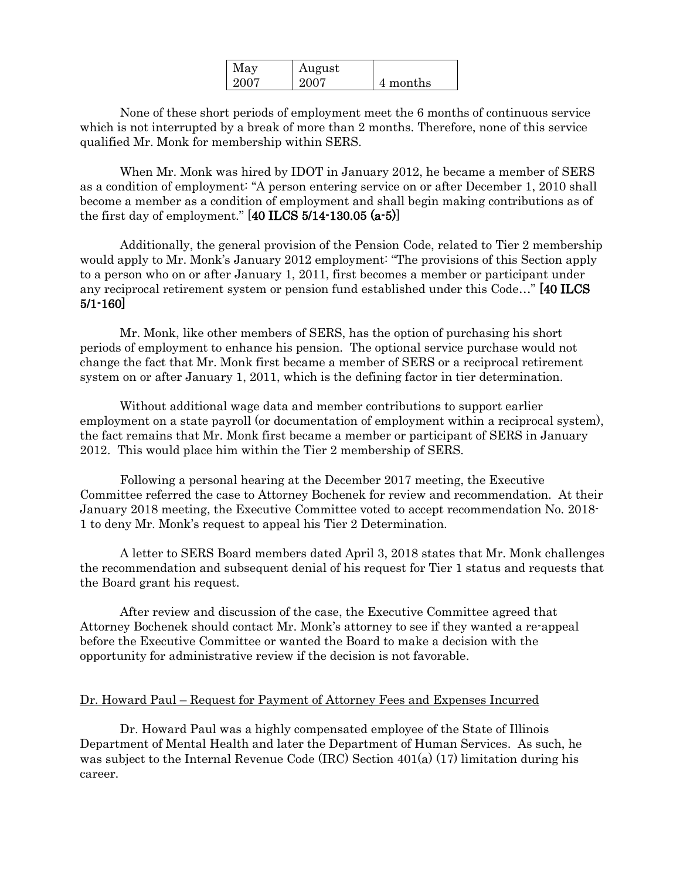| May  | August |          |
|------|--------|----------|
| 2007 | 2007   | 4 months |

None of these short periods of employment meet the 6 months of continuous service which is not interrupted by a break of more than 2 months. Therefore, none of this service qualified Mr. Monk for membership within SERS.

When Mr. Monk was hired by IDOT in January 2012, he became a member of SERS as a condition of employment: "A person entering service on or after December 1, 2010 shall become a member as a condition of employment and shall begin making contributions as of the first day of employment."  $[40$  ILCS 5/14-130.05  $(a-5)$ ]

Additionally, the general provision of the Pension Code, related to Tier 2 membership would apply to Mr. Monk's January 2012 employment: "The provisions of this Section apply to a person who on or after January 1, 2011, first becomes a member or participant under any reciprocal retirement system or pension fund established under this Code…" [40 ILCS 5/1-160]

Mr. Monk, like other members of SERS, has the option of purchasing his short periods of employment to enhance his pension. The optional service purchase would not change the fact that Mr. Monk first became a member of SERS or a reciprocal retirement system on or after January 1, 2011, which is the defining factor in tier determination.

Without additional wage data and member contributions to support earlier employment on a state payroll (or documentation of employment within a reciprocal system), the fact remains that Mr. Monk first became a member or participant of SERS in January 2012. This would place him within the Tier 2 membership of SERS.

Following a personal hearing at the December 2017 meeting, the Executive Committee referred the case to Attorney Bochenek for review and recommendation. At their January 2018 meeting, the Executive Committee voted to accept recommendation No. 2018- 1 to deny Mr. Monk's request to appeal his Tier 2 Determination.

A letter to SERS Board members dated April 3, 2018 states that Mr. Monk challenges the recommendation and subsequent denial of his request for Tier 1 status and requests that the Board grant his request.

After review and discussion of the case, the Executive Committee agreed that Attorney Bochenek should contact Mr. Monk's attorney to see if they wanted a re-appeal before the Executive Committee or wanted the Board to make a decision with the opportunity for administrative review if the decision is not favorable.

### Dr. Howard Paul – Request for Payment of Attorney Fees and Expenses Incurred

Dr. Howard Paul was a highly compensated employee of the State of Illinois Department of Mental Health and later the Department of Human Services. As such, he was subject to the Internal Revenue Code (IRC) Section 401(a) (17) limitation during his career.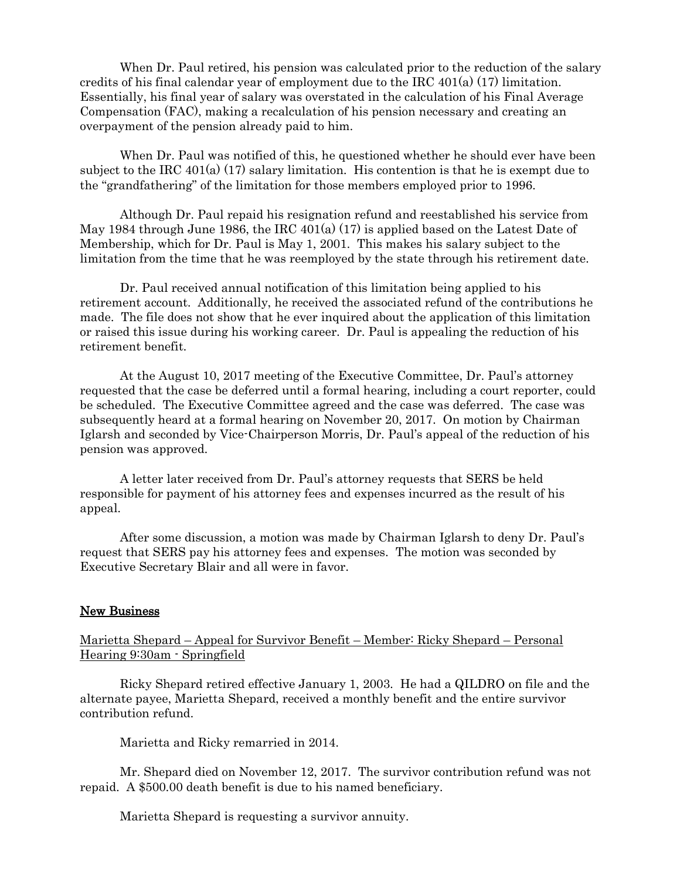When Dr. Paul retired, his pension was calculated prior to the reduction of the salary credits of his final calendar year of employment due to the IRC  $401(a)$  (17) limitation. Essentially, his final year of salary was overstated in the calculation of his Final Average Compensation (FAC), making a recalculation of his pension necessary and creating an overpayment of the pension already paid to him.

When Dr. Paul was notified of this, he questioned whether he should ever have been subject to the IRC 401(a) (17) salary limitation. His contention is that he is exempt due to the "grandfathering" of the limitation for those members employed prior to 1996.

Although Dr. Paul repaid his resignation refund and reestablished his service from May 1984 through June 1986, the IRC  $401(a)$  (17) is applied based on the Latest Date of Membership, which for Dr. Paul is May 1, 2001. This makes his salary subject to the limitation from the time that he was reemployed by the state through his retirement date.

Dr. Paul received annual notification of this limitation being applied to his retirement account. Additionally, he received the associated refund of the contributions he made. The file does not show that he ever inquired about the application of this limitation or raised this issue during his working career. Dr. Paul is appealing the reduction of his retirement benefit.

At the August 10, 2017 meeting of the Executive Committee, Dr. Paul's attorney requested that the case be deferred until a formal hearing, including a court reporter, could be scheduled. The Executive Committee agreed and the case was deferred. The case was subsequently heard at a formal hearing on November 20, 2017. On motion by Chairman Iglarsh and seconded by Vice-Chairperson Morris, Dr. Paul's appeal of the reduction of his pension was approved.

A letter later received from Dr. Paul's attorney requests that SERS be held responsible for payment of his attorney fees and expenses incurred as the result of his appeal.

After some discussion, a motion was made by Chairman Iglarsh to deny Dr. Paul's request that SERS pay his attorney fees and expenses. The motion was seconded by Executive Secretary Blair and all were in favor.

### New Business

Marietta Shepard – Appeal for Survivor Benefit – Member: Ricky Shepard – Personal Hearing 9:30am - Springfield

Ricky Shepard retired effective January 1, 2003. He had a QILDRO on file and the alternate payee, Marietta Shepard, received a monthly benefit and the entire survivor contribution refund.

Marietta and Ricky remarried in 2014.

Mr. Shepard died on November 12, 2017. The survivor contribution refund was not repaid. A \$500.00 death benefit is due to his named beneficiary.

Marietta Shepard is requesting a survivor annuity.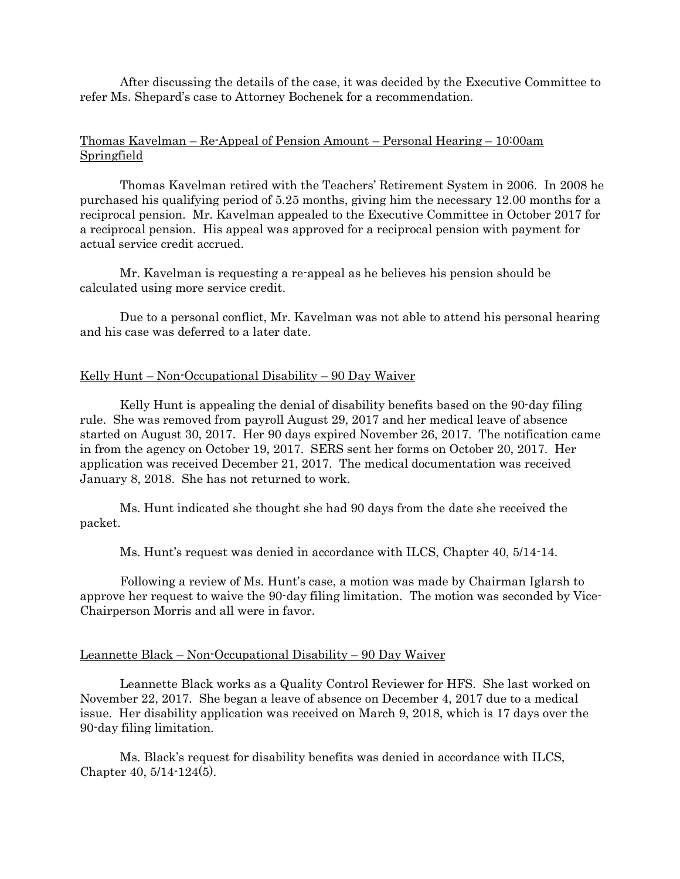After discussing the details of the case, it was decided by the Executive Committee to refer Ms. Shepard's case to Attorney Bochenek for a recommendation.

## Thomas Kavelman – Re-Appeal of Pension Amount – Personal Hearing – 10:00am Springfield

Thomas Kavelman retired with the Teachers' Retirement System in 2006. In 2008 he purchased his qualifying period of 5.25 months, giving him the necessary 12.00 months for a reciprocal pension. Mr. Kavelman appealed to the Executive Committee in October 2017 for a reciprocal pension. His appeal was approved for a reciprocal pension with payment for actual service credit accrued.

Mr. Kavelman is requesting a re-appeal as he believes his pension should be calculated using more service credit.

Due to a personal conflict, Mr. Kavelman was not able to attend his personal hearing and his case was deferred to a later date.

### Kelly Hunt – Non-Occupational Disability – 90 Day Waiver

Kelly Hunt is appealing the denial of disability benefits based on the 90-day filing rule. She was removed from payroll August 29, 2017 and her medical leave of absence started on August 30, 2017. Her 90 days expired November 26, 2017. The notification came in from the agency on October 19, 2017. SERS sent her forms on October 20, 2017. Her application was received December 21, 2017. The medical documentation was received January 8, 2018. She has not returned to work.

Ms. Hunt indicated she thought she had 90 days from the date she received the packet.

Ms. Hunt's request was denied in accordance with ILCS, Chapter 40, 5/14-14.

Following a review of Ms. Hunt's case, a motion was made by Chairman Iglarsh to approve her request to waive the 90-day filing limitation. The motion was seconded by Vice-Chairperson Morris and all were in favor.

### Leannette Black – Non-Occupational Disability – 90 Day Waiver

Leannette Black works as a Quality Control Reviewer for HFS. She last worked on November 22, 2017. She began a leave of absence on December 4, 2017 due to a medical issue. Her disability application was received on March 9, 2018, which is 17 days over the 90-day filing limitation.

Ms. Black's request for disability benefits was denied in accordance with ILCS, Chapter 40, 5/14-124(5).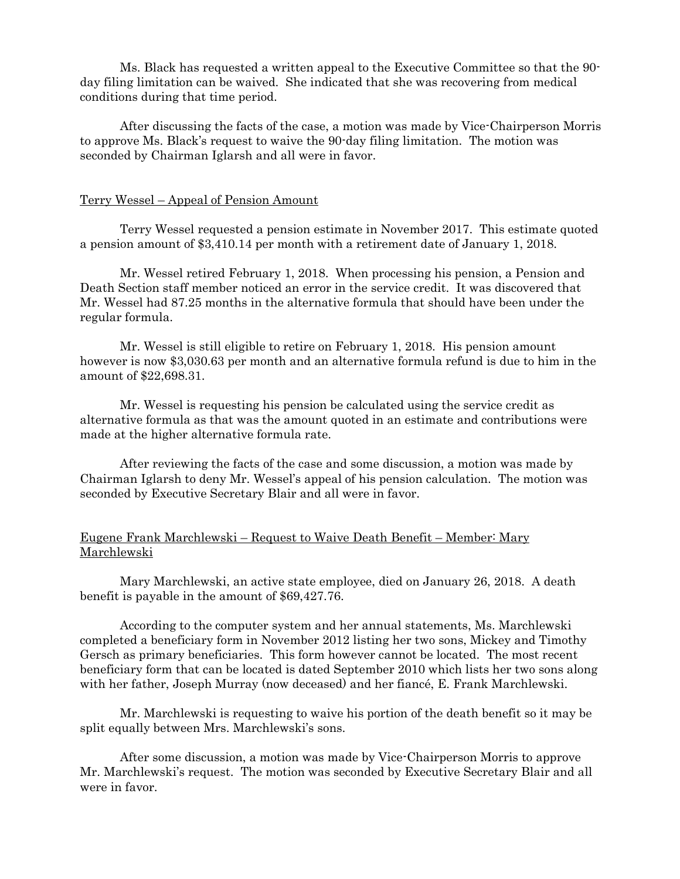Ms. Black has requested a written appeal to the Executive Committee so that the 90 day filing limitation can be waived. She indicated that she was recovering from medical conditions during that time period.

After discussing the facts of the case, a motion was made by Vice-Chairperson Morris to approve Ms. Black's request to waive the 90-day filing limitation. The motion was seconded by Chairman Iglarsh and all were in favor.

#### Terry Wessel – Appeal of Pension Amount

Terry Wessel requested a pension estimate in November 2017. This estimate quoted a pension amount of \$3,410.14 per month with a retirement date of January 1, 2018.

Mr. Wessel retired February 1, 2018. When processing his pension, a Pension and Death Section staff member noticed an error in the service credit. It was discovered that Mr. Wessel had 87.25 months in the alternative formula that should have been under the regular formula.

Mr. Wessel is still eligible to retire on February 1, 2018. His pension amount however is now \$3,030.63 per month and an alternative formula refund is due to him in the amount of \$22,698.31.

Mr. Wessel is requesting his pension be calculated using the service credit as alternative formula as that was the amount quoted in an estimate and contributions were made at the higher alternative formula rate.

After reviewing the facts of the case and some discussion, a motion was made by Chairman Iglarsh to deny Mr. Wessel's appeal of his pension calculation. The motion was seconded by Executive Secretary Blair and all were in favor.

### Eugene Frank Marchlewski – Request to Waive Death Benefit – Member: Mary Marchlewski

Mary Marchlewski, an active state employee, died on January 26, 2018. A death benefit is payable in the amount of \$69,427.76.

According to the computer system and her annual statements, Ms. Marchlewski completed a beneficiary form in November 2012 listing her two sons, Mickey and Timothy Gersch as primary beneficiaries. This form however cannot be located. The most recent beneficiary form that can be located is dated September 2010 which lists her two sons along with her father, Joseph Murray (now deceased) and her fiancé, E. Frank Marchlewski.

Mr. Marchlewski is requesting to waive his portion of the death benefit so it may be split equally between Mrs. Marchlewski's sons.

After some discussion, a motion was made by Vice-Chairperson Morris to approve Mr. Marchlewski's request. The motion was seconded by Executive Secretary Blair and all were in favor.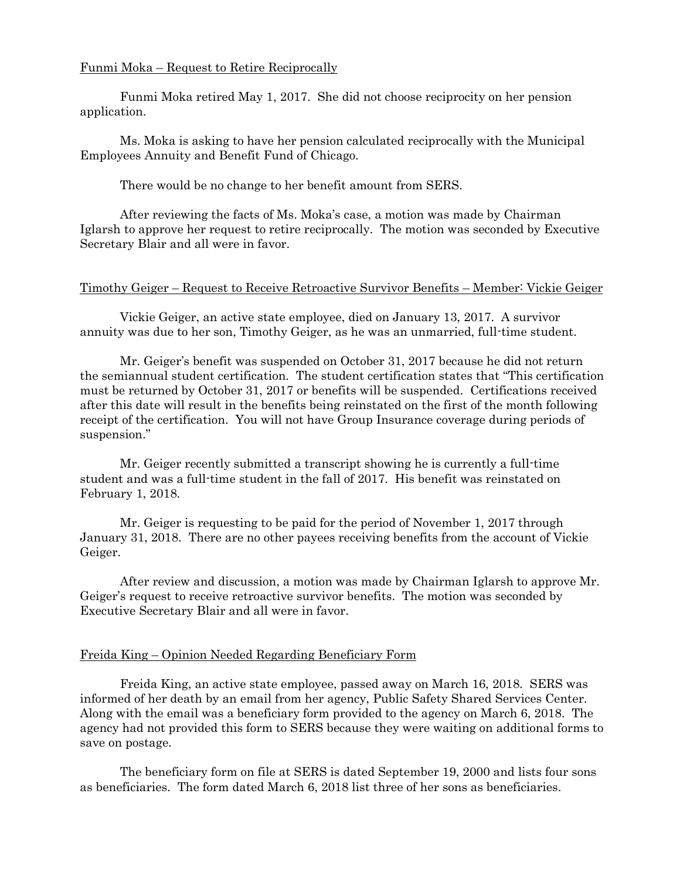### Funmi Moka – Request to Retire Reciprocally

Funmi Moka retired May 1, 2017. She did not choose reciprocity on her pension application.

Ms. Moka is asking to have her pension calculated reciprocally with the Municipal Employees Annuity and Benefit Fund of Chicago.

There would be no change to her benefit amount from SERS.

After reviewing the facts of Ms. Moka's case, a motion was made by Chairman Iglarsh to approve her request to retire reciprocally. The motion was seconded by Executive Secretary Blair and all were in favor.

### Timothy Geiger – Request to Receive Retroactive Survivor Benefits – Member: Vickie Geiger

Vickie Geiger, an active state employee, died on January 13, 2017. A survivor annuity was due to her son, Timothy Geiger, as he was an unmarried, full-time student.

Mr. Geiger's benefit was suspended on October 31, 2017 because he did not return the semiannual student certification. The student certification states that "This certification must be returned by October 31, 2017 or benefits will be suspended. Certifications received after this date will result in the benefits being reinstated on the first of the month following receipt of the certification. You will not have Group Insurance coverage during periods of suspension."

Mr. Geiger recently submitted a transcript showing he is currently a full-time student and was a full-time student in the fall of 2017. His benefit was reinstated on February 1, 2018.

Mr. Geiger is requesting to be paid for the period of November 1, 2017 through January 31, 2018. There are no other payees receiving benefits from the account of Vickie Geiger.

After review and discussion, a motion was made by Chairman Iglarsh to approve Mr. Geiger's request to receive retroactive survivor benefits. The motion was seconded by Executive Secretary Blair and all were in favor.

### Freida King – Opinion Needed Regarding Beneficiary Form

Freida King, an active state employee, passed away on March 16, 2018. SERS was informed of her death by an email from her agency, Public Safety Shared Services Center. Along with the email was a beneficiary form provided to the agency on March 6, 2018. The agency had not provided this form to SERS because they were waiting on additional forms to save on postage.

The beneficiary form on file at SERS is dated September 19, 2000 and lists four sons as beneficiaries. The form dated March 6, 2018 list three of her sons as beneficiaries.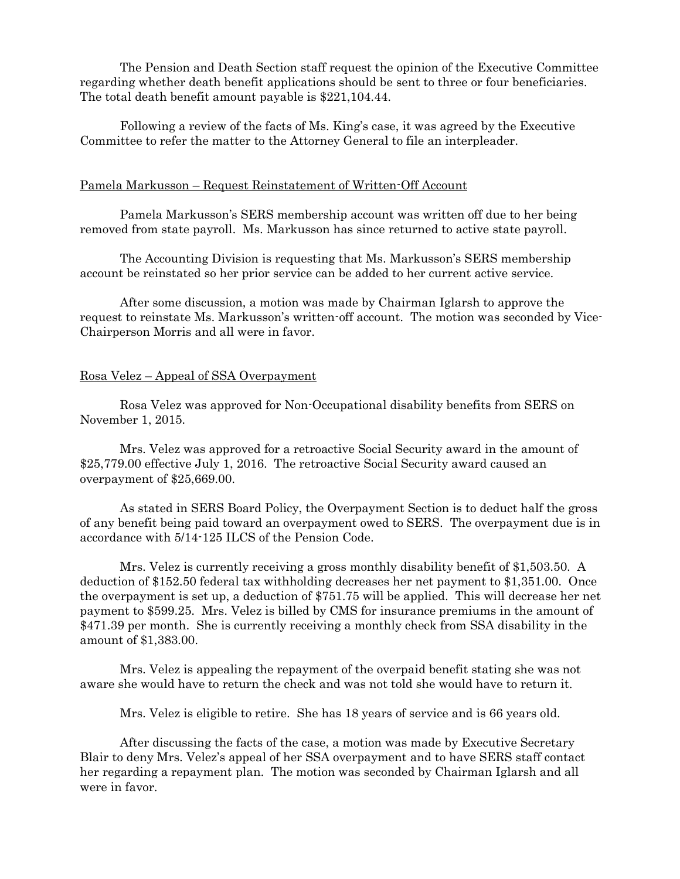The Pension and Death Section staff request the opinion of the Executive Committee regarding whether death benefit applications should be sent to three or four beneficiaries. The total death benefit amount payable is \$221,104.44.

Following a review of the facts of Ms. King's case, it was agreed by the Executive Committee to refer the matter to the Attorney General to file an interpleader.

#### Pamela Markusson – Request Reinstatement of Written-Off Account

Pamela Markusson's SERS membership account was written off due to her being removed from state payroll. Ms. Markusson has since returned to active state payroll.

The Accounting Division is requesting that Ms. Markusson's SERS membership account be reinstated so her prior service can be added to her current active service.

After some discussion, a motion was made by Chairman Iglarsh to approve the request to reinstate Ms. Markusson's written-off account. The motion was seconded by Vice-Chairperson Morris and all were in favor.

### Rosa Velez – Appeal of SSA Overpayment

Rosa Velez was approved for Non-Occupational disability benefits from SERS on November 1, 2015.

Mrs. Velez was approved for a retroactive Social Security award in the amount of \$25,779.00 effective July 1, 2016. The retroactive Social Security award caused an overpayment of \$25,669.00.

As stated in SERS Board Policy, the Overpayment Section is to deduct half the gross of any benefit being paid toward an overpayment owed to SERS. The overpayment due is in accordance with 5/14-125 ILCS of the Pension Code.

Mrs. Velez is currently receiving a gross monthly disability benefit of \$1,503.50. A deduction of \$152.50 federal tax withholding decreases her net payment to \$1,351.00. Once the overpayment is set up, a deduction of \$751.75 will be applied. This will decrease her net payment to \$599.25. Mrs. Velez is billed by CMS for insurance premiums in the amount of \$471.39 per month. She is currently receiving a monthly check from SSA disability in the amount of \$1,383.00.

Mrs. Velez is appealing the repayment of the overpaid benefit stating she was not aware she would have to return the check and was not told she would have to return it.

Mrs. Velez is eligible to retire. She has 18 years of service and is 66 years old.

After discussing the facts of the case, a motion was made by Executive Secretary Blair to deny Mrs. Velez's appeal of her SSA overpayment and to have SERS staff contact her regarding a repayment plan. The motion was seconded by Chairman Iglarsh and all were in favor.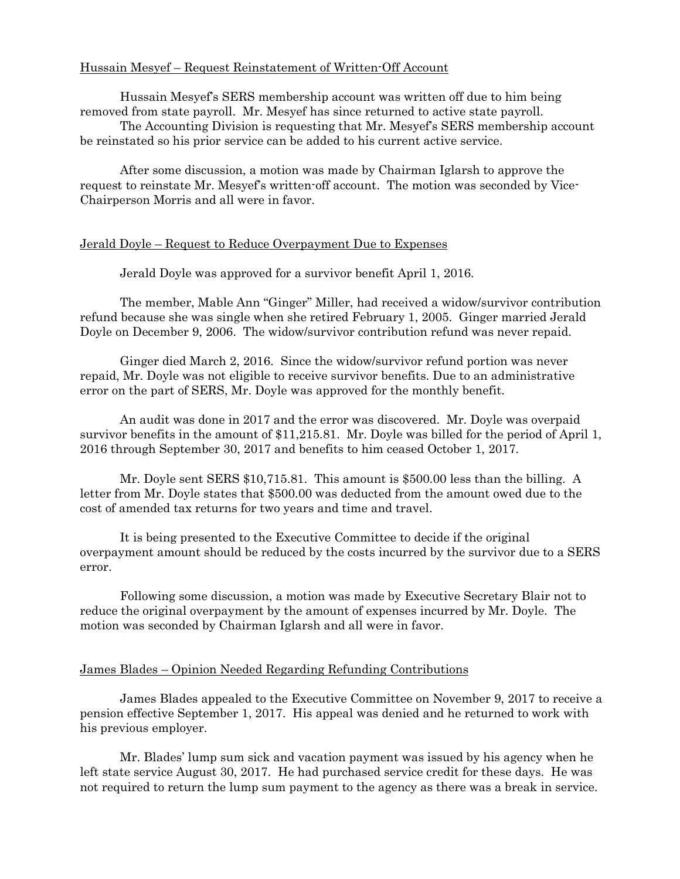# Hussain Mesyef – Request Reinstatement of Written-Off Account

Hussain Mesyef's SERS membership account was written off due to him being removed from state payroll. Mr. Mesyef has since returned to active state payroll.

The Accounting Division is requesting that Mr. Mesyef's SERS membership account be reinstated so his prior service can be added to his current active service.

After some discussion, a motion was made by Chairman Iglarsh to approve the request to reinstate Mr. Mesyef's written-off account. The motion was seconded by Vice-Chairperson Morris and all were in favor.

#### Jerald Doyle – Request to Reduce Overpayment Due to Expenses

Jerald Doyle was approved for a survivor benefit April 1, 2016.

The member, Mable Ann "Ginger" Miller, had received a widow/survivor contribution refund because she was single when she retired February 1, 2005. Ginger married Jerald Doyle on December 9, 2006. The widow/survivor contribution refund was never repaid.

Ginger died March 2, 2016. Since the widow/survivor refund portion was never repaid, Mr. Doyle was not eligible to receive survivor benefits. Due to an administrative error on the part of SERS, Mr. Doyle was approved for the monthly benefit.

An audit was done in 2017 and the error was discovered. Mr. Doyle was overpaid survivor benefits in the amount of \$11,215.81. Mr. Doyle was billed for the period of April 1, 2016 through September 30, 2017 and benefits to him ceased October 1, 2017.

Mr. Doyle sent SERS \$10,715.81. This amount is \$500.00 less than the billing. A letter from Mr. Doyle states that \$500.00 was deducted from the amount owed due to the cost of amended tax returns for two years and time and travel.

It is being presented to the Executive Committee to decide if the original overpayment amount should be reduced by the costs incurred by the survivor due to a SERS error.

Following some discussion, a motion was made by Executive Secretary Blair not to reduce the original overpayment by the amount of expenses incurred by Mr. Doyle. The motion was seconded by Chairman Iglarsh and all were in favor.

#### James Blades – Opinion Needed Regarding Refunding Contributions

James Blades appealed to the Executive Committee on November 9, 2017 to receive a pension effective September 1, 2017. His appeal was denied and he returned to work with his previous employer.

Mr. Blades' lump sum sick and vacation payment was issued by his agency when he left state service August 30, 2017. He had purchased service credit for these days. He was not required to return the lump sum payment to the agency as there was a break in service.